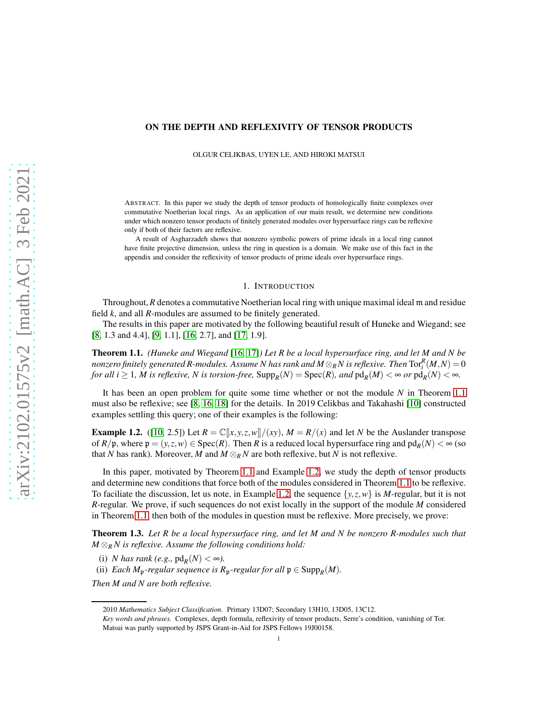#### <span id="page-0-3"></span>ON THE DEPTH AND REFLEXIVITY OF TENSOR PRODUCTS

OLGUR CELIKBAS, UYEN LE, AND HIROKI MATSUI

ABSTRACT. In this paper we study the depth of tensor products of homologically finite complexes over commutative Noetherian local rings. As an application of our main result, we determine new conditions under which nonzero tensor products of finitely generated modules over hypersurface rings can be reflexive only if both of their factors are reflexive.

A result of Asgharzadeh shows that nonzero symbolic powers of prime ideals in a local ring cannot have finite projective dimension, unless the ring in question is a domain. We make use of this fact in the appendix and consider the reflexivity of tensor products of prime ideals over hypersurface rings.

## 1. INTRODUCTION

Throughout,*R* denotes a commutative Noetherian local ring with unique maximal ideal m and residue field *k*, and all *R*-modules are assumed to be finitely generated.

The results in this paper are motivated by the following beautiful result of Huneke and Wiegand; see [\[8,](#page-9-0) 1.3 and 4.4], [\[9,](#page-9-1) 1.1], [\[16,](#page-10-0) 2.7], and [\[17,](#page-10-1) 1.9].

<span id="page-0-0"></span>Theorem 1.1. *(Huneke and Wiegand* [\[16,](#page-10-0) [17\]](#page-10-1)*) Let R be a local hypersurface ring, and let M and N be nonzero finitely generated R-modules. Assume N has rank and*  $M\otimes_R N$  *is reflexive. Then*  $\mathrm{Tor}_i^R(M,N)=0$ *for all i*  $\geq 1$ *, M is reflexive, N is torsion-free,*  $\text{Supp}_R(N) = \text{Spec}(R)$ *, and*  $\text{pd}_R(M) < \infty$  *or*  $\text{pd}_R(N) < \infty$ *.* 

It has been an open problem for quite some time whether or not the module *N* in Theorem [1.1](#page-0-0) must also be reflexive; see [\[8,](#page-9-0) [16,](#page-10-0) [18\]](#page-10-2) for the details. In 2019 Celikbas and Takahashi [\[10\]](#page-9-2) constructed examples settling this query; one of their examples is the following:

<span id="page-0-1"></span>**Example 1.2.** ([\[10,](#page-9-2) 2.5]) Let  $R = \mathbb{C}[x, y, z, w]/(xy)$ ,  $M = R/(x)$  and let *N* be the Auslander transpose of  $R/\mathfrak{p}$ , where  $\mathfrak{p} = (y, z, w) \in \text{Spec}(R)$ . Then  $R$  is a reduced local hypersurface ring and  $\text{pd}_R(N) < \infty$  (so that *N* has rank). Moreover, *M* and  $M \otimes_R N$  are both reflexive, but *N* is not reflexive.

In this paper, motivated by Theorem [1.1](#page-0-0) and Example [1.2,](#page-0-1) we study the depth of tensor products and determine new conditions that force both of the modules considered in Theorem [1.1](#page-0-0) to be reflexive. To faciliate the discussion, let us note, in Example [1.2,](#page-0-1) the sequence  $\{y, z, w\}$  is *M*-regular, but it is not *R*-regular. We prove, if such sequences do not exist locally in the support of the module *M* considered in Theorem [1.1,](#page-0-0) then both of the modules in question must be reflexive. More precisely, we prove:

<span id="page-0-2"></span>Theorem 1.3. *Let R be a local hypersurface ring, and let M and N be nonzero R-modules such that M* ⊗*<sup>R</sup> N is reflexive. Assume the following conditions hold:*

(i) *N* has rank (e.g.,  $\text{pd}_R(N) < \infty$ ).

(ii) *Each*  $M_p$ *-regular sequence is*  $R_p$ *-regular for all*  $p \in \text{Supp}_R(M)$ *.* 

*Then M and N are both reflexive.*

<sup>2010</sup> *Mathematics Subject Classification.* Primary 13D07; Secondary 13H10, 13D05, 13C12.

*Key words and phrases.* Complexes, depth formula, reflexivity of tensor products, Serre's condition, vanishing of Tor. Matsui was partly supported by JSPS Grant-in-Aid for JSPS Fellows 19J00158.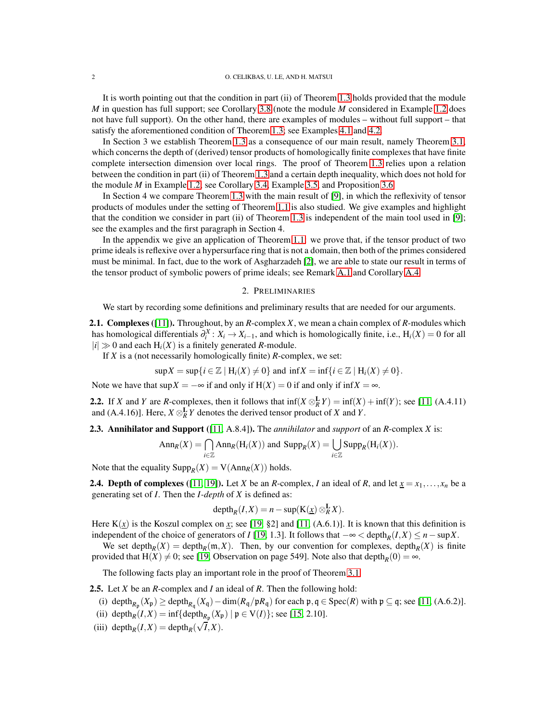<span id="page-1-3"></span>It is worth pointing out that the condition in part (ii) of Theorem [1.3](#page-0-2) holds provided that the module *M* in question has full support; see Corollary [3.8](#page-6-0) (note the module *M* considered in Example [1.2](#page-0-1) does not have full support). On the other hand, there are examples of modules – without full support – that satisfy the aforementioned condition of Theorem [1.3;](#page-0-2) see Examples [4.1](#page-6-1) and [4.2.](#page-7-0)

In Section 3 we establish Theorem [1.3](#page-0-2) as a consequence of our main result, namely Theorem [3.1,](#page-3-0) which concerns the depth of (derived) tensor products of homologically finite complexes that have finite complete intersection dimension over local rings. The proof of Theorem [1.3](#page-0-2) relies upon a relation between the condition in part (ii) of Theorem [1.3](#page-0-2) and a certain depth inequality, which does not hold for the module *M* in Example [1.2;](#page-0-1) see Corollary [3.4,](#page-4-0) Example [3.5,](#page-5-0) and Proposition [3.6.](#page-5-1)

In Section 4 we compare Theorem [1.3](#page-0-2) with the main result of [\[9\]](#page-9-1), in which the reflexivity of tensor products of modules under the setting of Theorem [1.1](#page-0-0) is also studied. We give examples and highlight that the condition we consider in part (ii) of Theorem [1.3](#page-0-2) is independent of the main tool used in [\[9\]](#page-9-1); see the examples and the first paragraph in Section 4.

In the appendix we give an application of Theorem [1.1:](#page-0-0) we prove that, if the tensor product of two prime ideals is reflexive over a hypersurface ring that is not a domain, then both of the primes considered must be minimal. In fact, due to the work of Asgharzadeh [\[2\]](#page-9-3), we are able to state our result in terms of the tensor product of symbolic powers of prime ideals; see Remark [A.1](#page-8-0) and Corollary [A.4.](#page-9-4)

# 2. PRELIMINARIES

We start by recording some definitions and preliminary results that are needed for our arguments.

2.1. Complexes ([\[11\]](#page-9-5)). Throughout, by an *R*-complex *X*, we mean a chain complex of *R*-modules which has homological differentials  $\partial_i^X : X_i \to X_{i-1}$ , and which is homologically finite, i.e.,  $H_i(X) = 0$  for all  $|i| \gg 0$  and each  $H_i(X)$  is a finitely generated *R*-module.

If *X* is a (not necessarily homologically finite) *R*-complex, we set:

$$
\sup X = \sup\{i \in \mathbb{Z} \mid H_i(X) \neq 0\} \text{ and } \inf X = \inf\{i \in \mathbb{Z} \mid H_i(X) \neq 0\}.
$$

Note we have that  $\sup X = -\infty$  if and only if  $H(X) = 0$  if and only if  $\inf X = \infty$ .

<span id="page-1-1"></span>2.2. If *X* and *Y* are *R*-complexes, then it follows that  $\inf(X \otimes_R^{\mathbf{L}} Y) = \inf(X) + \inf(Y)$ ; see [\[11,](#page-9-5) (A.4.11) and (A.4.16)]. Here,  $X \otimes_R^{\mathbf{L}} Y$  denotes the derived tensor product of *X* and *Y*.

2.3. Annihilator and Support ([\[11,](#page-9-5) A.8.4]). The *annihilator* and *support* of an *R*-complex *X* is:

$$
Ann_R(X) = \bigcap_{i \in \mathbb{Z}} Ann_R(H_i(X)) \text{ and } Supp_R(X) = \bigcup_{i \in \mathbb{Z}} Supp_R(H_i(X)).
$$

Note that the equality  $\text{Supp}_R(X) = \text{V}(\text{Ann}_R(X))$  holds.

<span id="page-1-2"></span>**2.4. Depth of complexes** ([\[11,](#page-9-5) [19\]](#page-10-3)). Let *X* be an *R*-complex, *I* an ideal of *R*, and let  $\underline{x} = x_1, \ldots, x_n$  be a generating set of *I*. Then the *I-depth* of *X* is defined as:

$$
depth_R(I, X) = n - sup(K(\underline{x}) \otimes_R^{\mathbf{L}} X).
$$

Here  $K(\chi)$  is the Koszul complex on  $\chi$ ; see [\[19,](#page-10-3) §2] and [\[11,](#page-9-5) (A.6.1)]. It is known that this definition is independent of the choice of generators of *I* [\[19,](#page-10-3) 1.3]. It follows that  $-\infty <$  depth<sub>*R*</sub>(*I*,*X*) ≤ *n*−sup*X*.

We set depth<sub>*R*</sub>(*X*) = depth<sub>*R*</sub>( $m$ ,*X*). Then, by our convention for complexes, depth<sub>*R*</sub>(*X*) is finite provided that  $H(X) \neq 0$ ; see [\[19,](#page-10-3) Observation on page 549]. Note also that depth<sub>*R*</sub>(0) = ∞.

The following facts play an important role in the proof of Theorem [3.1.](#page-3-0)

<span id="page-1-0"></span>2.5. Let *X* be an *R*-complex and *I* an ideal of *R*. Then the following hold:

- (i) depth<sub> $R_p$ </sub>  $(X_p) \ge$  depth $_{R_q}$   $(X_q)$  dim $(R_q/pR_q)$  for each  $p, q \in \text{Spec}(R)$  with  $p \subseteq q$ ; see [\[11,](#page-9-5) (A.6.2)].
- (ii) depth<sub>*R*</sub>(*I*,*X*) = inf{depth<sub>*R*<sup>p</sup></sub>(*X*<sub>p</sub>) |  $p \in V(I)$ }; see [\[15,](#page-10-4) 2.10].
- (iii) depth<sub>*R*</sub> $(I, X) =$ depth<sub>*R*</sub> $(\sqrt{I}, X)$ .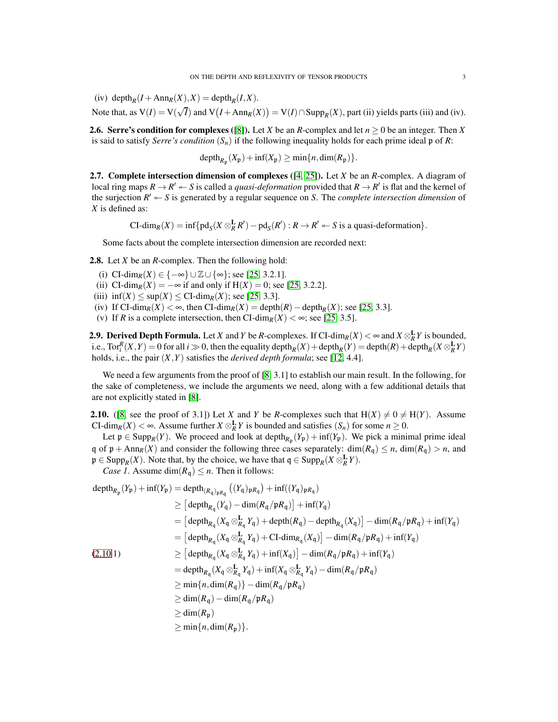<span id="page-2-3"></span>(iv) depth<sub>*R*</sub>(*I* + Ann<sub>*R*</sub>(*X*),*X*) = depth<sub>*R*</sub>(*I*,*X*).

Note that, as  $V(I) = V(\sqrt{I})$  and  $V(I + Ann_R(X)) = V(I) \cap Supp_R(X)$ , part (ii) yields parts (iii) and (iv).

**2.6. Serre's condition for complexes** ([\[8\]](#page-9-0)). Let *X* be an *R*-complex and let  $n \ge 0$  be an integer. Then *X* is said to satisfy *Serre's condition*  $(S_n)$  if the following inequality holds for each prime ideal p of *R*:

 $\operatorname{depth}_{R_{\mathfrak{p}}}(X_{\mathfrak{p}}) + \inf(X_{\mathfrak{p}}) \ge \min\{n, \dim(R_{\mathfrak{p}})\}.$ 

2.7. Complete intersection dimension of complexes ([\[4,](#page-9-6) [25\]](#page-10-5)). Let *X* be an *R*-complex. A diagram of local ring maps  $R \to R' \leftarrow S$  is called a *quasi-deformation* provided that  $R \to R'$  is flat and the kernel of the surjection  $R' \leftarrow S$  is generated by a regular sequence on *S*. The *complete intersection dimension* of *X* is defined as:

 $CI\text{-dim}_R(X) = \inf \{ \text{pd}_S(X \otimes_R^{\mathbf{L}} R') - \text{pd}_S(R') : R \to R' \leftarrow S \text{ is a quasi-deformation} \}.$ 

Some facts about the complete intersection dimension are recorded next:

<span id="page-2-1"></span>2.8. Let *X* be an *R*-complex. Then the following hold:

- (i) CI-dim<sub>*R*</sub>(*X*) ∈ { $-\infty$ } ∪ Z ∪ { $\infty$ }; see [\[25,](#page-10-5) 3.2.1].
- (ii) CI-dim<sub>*R*</sub>(*X*) = −∞ if and only if H(*X*) = 0; see [\[25,](#page-10-5) 3.2.2].
- (iii)  $\inf(X) \leq \sup(X) \leq \text{CI-dim}_R(X)$ ; see [\[25,](#page-10-5) 3.3].
- (iv) If CI-dim<sub>*R*</sub>(*X*) < ∞, then CI-dim<sub>*R*</sub>(*X*) = depth<sub>*R*</sub>(*R*) depth<sub>*R*</sub>(*X*); see [\[25,](#page-10-5) 3.3].
- (v) If *R* is a complete intersection, then CI-dim<sub>*R*</sub>(*X*) <  $\infty$ ; see [\[25,](#page-10-5) 3.5].

<span id="page-2-2"></span>**2.9. Derived Depth Formula.** Let *X* and *Y* be *R*-complexes. If CI-dim<sub>*R*</sub>(*X*) <  $\infty$  and *X*  $\otimes_R^{\mathbf{L}} Y$  is bounded, i.e.,  $\text{Tor}_i^R(X, Y) = 0$  for all  $i \gg 0$ , then the equality depth $_R(X) + \text{depth}_R(Y) = \text{depth}(R) + \text{depth}_R(X \otimes_R^{\mathbf{L}} Y)$ holds, i.e., the pair (*X*,*Y*) satisfies the *derived depth formula*; see [\[12,](#page-9-7) 4.4].

We need a few arguments from the proof of [\[8,](#page-9-0) 3.1] to establish our main result. In the following, for the sake of completeness, we include the arguments we need, along with a few additional details that are not explicitly stated in [\[8\]](#page-9-0).

<span id="page-2-0"></span>**2.10.** ([\[8,](#page-9-0) see the proof of 3.1]) Let *X* and *Y* be *R*-complexes such that  $H(X) \neq 0 \neq H(Y)$ . Assume CI-dim<sub>*R*</sub>(*X*) < ∞. Assume further *X*  $\otimes_R^{\mathbf{L}} Y$  is bounded and satisfies (*S<sub>n</sub>*) for some  $n \ge 0$ .

Let  $p \in \text{Supp}_R(Y)$ . We proceed and look at depth<sub> $R_p(Y_p)$ </sub> + inf( $Y_p$ ). We pick a minimal prime ideal q of  $p + Ann_R(X)$  and consider the following three cases separately: dim( $R_q$ )  $\leq n$ , dim( $R_q$ )  $> n$ , and  $\mathfrak{p} \in \text{Supp}_R(X)$ . Note that, by the choice, we have that  $\mathfrak{q} \in \text{Supp}_R(X \otimes_R^{\mathbf{L}} Y)$ .

*Case 1*. Assume dim( $R_q$ )  $\leq n$ . Then it follows:

$$
depth_{R_p}(Y_p) + inf(Y_p) = depth_{(R_q)_{pR_q}} ((Y_q)_{pR_q}) + inf((Y_q)_{pR_q})
$$
  
\n
$$
\geq [depth_{R_q}(Y_q) - dim(R_q/pR_q)] + inf(Y_q)
$$
  
\n
$$
= [depth_{R_q}(X_q \otimes_{R_q}^{\mathbf{L}} Y_q) + depth(R_q) - depth_{R_q}(X_q)] - dim(R_q/pR_q) + inf(Y_q)
$$
  
\n
$$
= [depth_{R_q}(X_q \otimes_{R_q}^{\mathbf{L}} Y_q) + CI-dim_{R_q}(X_q)] - dim(R_q/pR_q) + inf(Y_q)
$$
  
\n(2.10.1)  
\n
$$
\geq [depth_{R_q}(X_q \otimes_{R_q}^{\mathbf{L}} Y_q) + inf(X_q)] - dim(R_q/pR_q) + inf(Y_q)
$$
  
\n
$$
= depth_{R_q}(X_q \otimes_{R_q}^{\mathbf{L}} Y_q) + inf(X_q \otimes_{R_q}^{\mathbf{L}} Y_q) - dim(R_q/pR_q)
$$
  
\n
$$
\geq min\{n, dim(R_q)\} - dim(R_q/pR_q)
$$
  
\n
$$
\geq dim(R_p)
$$
  
\n
$$
\geq min\{n, dim(R_p)\}.
$$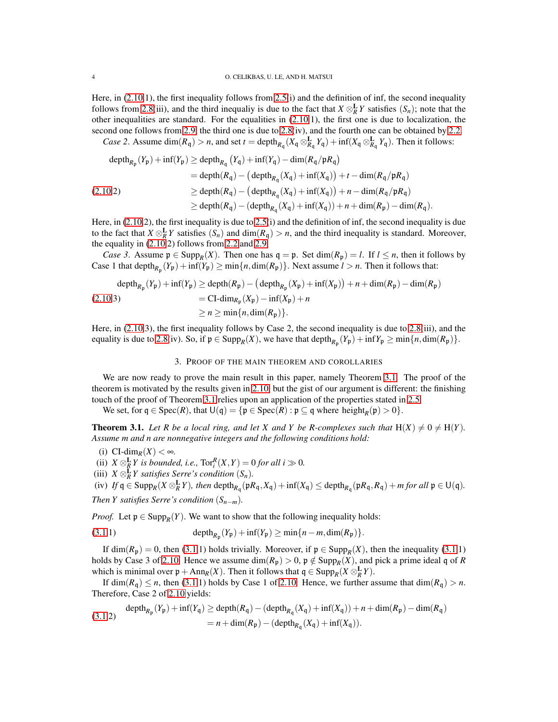Here, in [\(2.10.](#page-2-0)1), the first inequality follows from [2.5\(](#page-1-0)i) and the definition of inf, the second inequality follows from [2.8\(](#page-2-1)iii), and the third inequaliy is due to the fact that  $X \otimes_R^{\mathbf{L}} Y$  satisfies  $(S_n)$ ; note that the other inequalities are standard. For the equalities in [\(2.10.](#page-2-0)1), the first one is due to localization, the second one follows from [2.9,](#page-2-2) the third one is due to [2.8\(](#page-2-1)iv), and the fourth one can be obtained by [2.2.](#page-1-1)

*Case 2.* Assume  $dim(R_q) > n$ , and set  $t = depth_{R_q}(X_q \otimes_{R_q}^{\mathbf{L}} Y_q) + inf(X_q \otimes_{R_q}^{\mathbf{L}} Y_q)$ . Then it follows:

$$
\begin{aligned}\n\text{depth}_{R_{\mathfrak{p}}}(Y_{\mathfrak{p}}) + \inf(Y_{\mathfrak{p}}) &\geq \text{depth}_{R_{\mathfrak{q}}}(Y_{\mathfrak{q}}) + \inf(Y_{\mathfrak{q}}) - \dim(R_{\mathfrak{q}}/\mathfrak{p}R_{\mathfrak{q}}) \\
&= \text{depth}(R_{\mathfrak{q}}) - (\text{depth}_{R_{\mathfrak{q}}}(X_{\mathfrak{q}}) + \inf(X_{\mathfrak{q}})) + t - \dim(R_{\mathfrak{q}}/\mathfrak{p}R_{\mathfrak{q}}) \\
&\geq \text{depth}(R_{\mathfrak{q}}) - (\text{depth}_{R_{\mathfrak{q}}}(X_{\mathfrak{q}}) + \inf(X_{\mathfrak{q}})) + n - \dim(R_{\mathfrak{q}}/\mathfrak{p}R_{\mathfrak{q}}) \\
&\geq \text{depth}(R_{\mathfrak{q}}) - (\text{depth}_{R_{\mathfrak{q}}}(X_{\mathfrak{q}}) + \inf(X_{\mathfrak{q}})) + n + \dim(R_{\mathfrak{p}}) - \dim(R_{\mathfrak{q}}).\n\end{aligned}
$$

Here, in [\(2.10.](#page-2-0)2), the first inequality is due to [2.5\(](#page-1-0)i) and the definition of inf, the second inequality is due to the fact that  $X \otimes_R^{\mathbf{L}} Y$  satisfies  $(S_n)$  and dim $(R_q) > n$ , and the third inequality is standard. Moreover, the equality in [\(2.10.](#page-2-0)2) follows from [2.2](#page-1-1) and [2.9.](#page-2-2)

*Case 3*. Assume  $p \in \text{Supp}_R(X)$ . Then one has  $q = p$ . Set dim( $R_p$ ) = *l*. If  $l \leq n$ , then it follows by Case 1 that depth<sub> $R_p$ </sub>  $(Y_p)$  + inf $(Y_p)$   $\geq$  min $\{n, \dim(R_p)\}$ . Next assume  $l > n$ . Then it follows that:

$$
\begin{aligned}\n\text{depth}_{R_{\mathfrak{p}}}(Y_{\mathfrak{p}}) + \inf(Y_{\mathfrak{p}}) &\ge \text{depth}(R_{\mathfrak{p}}) - \left(\text{depth}_{R_{\mathfrak{p}}}(X_{\mathfrak{p}}) + \inf(X_{\mathfrak{p}})\right) + n + \dim(R_{\mathfrak{p}}) - \dim(R_{\mathfrak{p}}) \\
&= \text{CI-dim}_{R_{\mathfrak{p}}}(X_{\mathfrak{p}}) - \inf(X_{\mathfrak{p}}) + n \\
&\ge n \ge \min\{n, \dim(R_{\mathfrak{p}})\}.\n\end{aligned}
$$

Here, in [\(2.10.](#page-2-0)3), the first inequality follows by Case 2, the second inequality is due to [2.8\(](#page-2-1)iii), and the equality is due to [2.8\(](#page-2-1)iv). So, if  $\mathfrak{p} \in \text{Supp}_R(X)$ , we have that depth $_{R_{\mathfrak{p}}}(Y_{\mathfrak{p}}) + \inf Y_{\mathfrak{p}} \ge \min \{n, \dim(R_{\mathfrak{p}})\}.$ 

### 3. PROOF OF THE MAIN THEOREM AND COROLLARIES

We are now ready to prove the main result in this paper, namely Theorem [3.1.](#page-3-0) The proof of the theorem is motivated by the results given in [2.10,](#page-2-0) but the gist of our argument is different: the finishing touch of the proof of Theorem [3.1](#page-3-0) relies upon an application of the properties stated in [2.5.](#page-1-0)

We set, for  $q \in \text{Spec}(R)$ , that  $\bigcup (q) = \{ \mathfrak{p} \in \text{Spec}(R) : \mathfrak{p} \subseteq q \text{ where height}_R(\mathfrak{p}) > 0 \}.$ 

<span id="page-3-0"></span>**Theorem 3.1.** Let R be a local ring, and let X and Y be R-complexes such that  $H(X) \neq 0 \neq H(Y)$ . *Assume m and n are nonnegative integers and the following conditions hold:*

(i) 
$$
CI\text{-dim}_R(X) < \infty
$$
.

- (ii)  $X \otimes_R^{\mathbf{L}} Y$  is bounded, i.e.,  $\text{Tor}_i^R(X,Y) = 0$  for all  $i \gg 0$ .
- (iii)  $X \otimes_R^{\mathbf{L}} Y$  *satisfies Serre's condition*  $(S_n)$ *.*

(iv)  $If \mathfrak{q} \in \text{Supp}_R(X \otimes_R^{\mathbf{L}} Y)$ , then depth<sub> $R_{\mathfrak{q}}(\mathfrak{p}R_{\mathfrak{q}}, X_{\mathfrak{q}}) + \inf(X_{\mathfrak{q}}) \leq \text{depth}_{R_{\mathfrak{q}}}(\mathfrak{p}R_{\mathfrak{q}}, R_{\mathfrak{q}}) + m$  for all  $\mathfrak{p} \in \mathsf{U}(\mathfrak{q})$ .</sub>

*Then Y satisfies Serre's condition*  $(S_{n-m})$ *.* 

*Proof.* Let  $\mathfrak{p} \in \text{Supp}_R(Y)$ . We want to show that the following inequality holds:

(3.1.1) 
$$
\text{depth}_{R_{\mathfrak{p}}}(Y_{\mathfrak{p}}) + \text{inf}(Y_{\mathfrak{p}}) \geq \min\{n-m,\dim(R_{\mathfrak{p}})\}.
$$

If  $\dim(R_p) = 0$ , then [\(3.1.](#page-3-0)1) holds trivially. Moreover, if  $p \in \text{Supp}_R(X)$ , then the inequality (3.1.1) holds by Case 3 of [2.10.](#page-2-0) Hence we assume  $dim(R_p) > 0$ ,  $p \notin Supp_R(X)$ , and pick a prime ideal q of *R* which is minimal over  $\mathfrak{p} + \text{Ann}_R(X)$ . Then it follows that  $\mathfrak{q} \in \text{Supp}_R(X \otimes_R^{\mathbf{L}} Y)$ .

If dim( $R_q$ )  $\leq n$ , then [\(3.1.](#page-3-0)1) holds by Case 1 of [2.10.](#page-2-0) Hence, we further assume that dim( $R_q$ )  $> n$ . Therefore, Case 2 of [2.10](#page-2-0) yields:

$$
\text{(3.1.2)} \quad \text{depth}_{R_{\mathfrak{p}}}(Y_{\mathfrak{p}}) + \inf(Y_{\mathfrak{q}}) \ge \text{depth}(R_{\mathfrak{q}}) - (\text{depth}_{R_{\mathfrak{q}}}(X_{\mathfrak{q}}) + \inf(X_{\mathfrak{q}})) + n + \dim(R_{\mathfrak{p}}) - \dim(R_{\mathfrak{q}})
$$
\n
$$
= n + \dim(R_{\mathfrak{p}}) - (\text{depth}_{R_{\mathfrak{q}}}(X_{\mathfrak{q}}) + \inf(X_{\mathfrak{q}})).
$$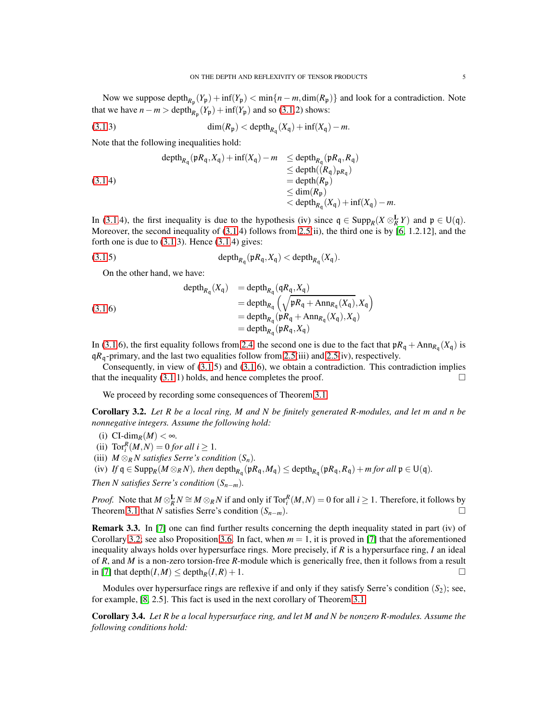<span id="page-4-2"></span>Now we suppose depth<sub> $R_p$ </sub> $(Y_p)$  + inf $(Y_p)$  < min $\{n - m, \dim(R_p)\}$  and look for a contradiction. Note that we have  $n - m > \text{depth}_{R_p}(Y_p) + \text{inf}(Y_p)$  and so [\(3.1.](#page-3-0)2) shows:

(3.1.3) 
$$
\dim(R_{\mathfrak{p}}) < \operatorname{depth}_{R_{\mathfrak{q}}}(X_{\mathfrak{q}}) + \inf(X_{\mathfrak{q}}) - m.
$$

Note that the following inequalities hold:

(3.1.4)  
\n
$$
\begin{aligned}\n\operatorname{depth}_{R_{\mathfrak{q}}}(\mathfrak{p}R_{\mathfrak{q}}, X_{\mathfrak{q}}) + \inf(X_{\mathfrak{q}}) - m &\leq \operatorname{depth}_{R_{\mathfrak{q}}}(\mathfrak{p}R_{\mathfrak{q}}, R_{\mathfrak{q}}) \\
&\leq \operatorname{depth}(R_{\mathfrak{q}}) \operatorname{depth}_{R_{\mathfrak{q}}}(R_{\mathfrak{p}}) \\
&\leq \operatorname{dim}(R_{\mathfrak{p}}) \\
&\leq \operatorname{depth}_{R_{\mathfrak{q}}}(X_{\mathfrak{q}}) + \inf(X_{\mathfrak{q}}) - m.\n\end{aligned}
$$

In [\(3.1.](#page-3-0)4), the first inequality is due to the hypothesis (iv) since  $q \in \text{Supp}_R(X \otimes_R^{\mathbf{L}} Y)$  and  $p \in \mathsf{U}(q)$ . Moreover, the second inequality of  $(3.1.4)$  $(3.1.4)$  follows from [2.5\(](#page-1-0)ii), the third one is by  $[6, 1.2.12]$  $[6, 1.2.12]$ , and the forth one is due to  $(3.1.3)$ . Hence  $(3.1.4)$  gives:

$$
(3.1.5) \t\operatorname{depth}_{R_{\mathfrak{q}}}(pR_{\mathfrak{q}}, X_{\mathfrak{q}}) < \operatorname{depth}_{R_{\mathfrak{q}}}(X_{\mathfrak{q}}).
$$

On the other hand, we have:

(3.1.6)  
\n
$$
\begin{array}{rcl}\n\text{depth}_{R_{q}}(X_{q}) &=& \text{depth}_{R_{q}}(qR_{q}, X_{q}) \\
&=& \text{depth}_{R_{q}}\left(\sqrt{\mathfrak{p}R_{q} + \text{Ann}_{R_{q}}(X_{q})}, X_{q}\right) \\
&=& \text{depth}_{R_{q}}(\mathfrak{p}R_{q} + \text{Ann}_{R_{q}}(X_{q}), X_{q}) \\
&=& \text{depth}_{R_{q}}(\mathfrak{p}R_{q}, X_{q})\n\end{array}
$$

In [\(3.1.](#page-3-0)6), the first equality follows from [2.4,](#page-1-2) the second one is due to the fact that  $pR_q + Ann_{R_q}(X_q)$  is  $qR_q$ -primary, and the last two equalities follow from [2.5\(](#page-1-0)iii) and 2.5(iv), respectively.

Consequently, in view of [\(3.1.](#page-3-0)5) and [\(3.1.](#page-3-0)6), we obtain a contradiction. This contradiction implies that the inequality  $(3.1.1)$  $(3.1.1)$  holds, and hence completes the proof.

We proceed by recording some consequences of Theorem [3.1.](#page-3-0)

<span id="page-4-1"></span>Corollary 3.2. *Let R be a local ring, M and N be finitely generated R-modules, and let m and n be nonnegative integers. Assume the following hold:*

(i)  $CI\text{-dim}_R(M) < \infty$ .

- (ii)  $\text{Tor}_{i}^{R}(M,N) = 0$  *for all i*  $\geq 1$ *.*
- (iii)  $M \otimes_R N$  *satisfies Serre's condition*  $(S_n)$ *.*

 $f(\mathbf{v})$  *If*  $\mathbf{q} \in \text{Supp}_R(M \otimes_R N)$ , then depth $R_{\mathbf{q}}(\mathfrak{p}R_{\mathbf{q}}, M_{\mathbf{q}}) \leq \text{depth}_{R_{\mathbf{q}}}(\mathfrak{p}R_{\mathbf{q}}, R_{\mathbf{q}}) + m$  for all  $\mathfrak{p} \in \mathsf{U}(\mathbf{q})$ .

*Then N satisfies Serre's condition*  $(S_{n-m})$ *.* 

*Proof.* Note that  $M \otimes_R^{\mathbf{L}} N \cong M \otimes_R N$  if and only if  $Tor_i^R(M,N) = 0$  for all  $i \geq 1$ . Therefore, it follows by Theorem [3.1](#page-3-0) that *N* satisfies Serre's condition  $(S_{n-m})$ .

Remark 3.3. In [\[7\]](#page-9-9) one can find further results concerning the depth inequality stated in part (iv) of Corollary [3.2;](#page-4-1) see also Proposition [3.6.](#page-5-1) In fact, when  $m = 1$ , it is proved in [\[7\]](#page-9-9) that the aforementioned inequality always holds over hypersurface rings. More precisely, if *R* is a hypersurface ring, *I* an ideal of *R*, and *M* is a non-zero torsion-free *R*-module which is generically free, then it follows from a result in [\[7\]](#page-9-9) that depth $(I, M) \leq$  depth $_R(I, R) + 1$ .

Modules over hypersurface rings are reflexive if and only if they satisfy Serre's condition  $(S_2)$ ; see, for example, [\[8,](#page-9-0) 2.5]. This fact is used in the next corollary of Theorem [3.1.](#page-3-0)

<span id="page-4-0"></span>Corollary 3.4. *Let R be a local hypersurface ring, and let M and N be nonzero R-modules. Assume the following conditions hold:*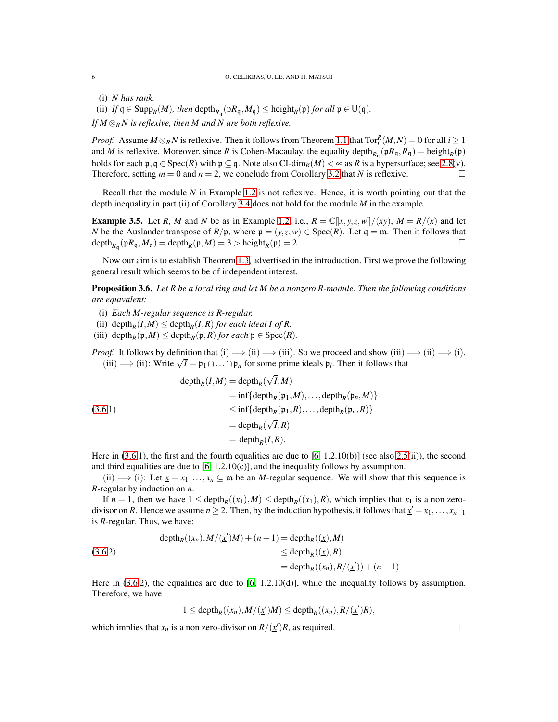<span id="page-5-2"></span>(i) *N has rank.*

(ii) *If*  $q \in \text{Supp}_R(M)$ *, then* depth<sub>*R*q</sub></sub> ( $pR_q$ ,  $M_q$ )  $\leq$  height<sub>*R*</sub>( $p$ ) *for all*  $p \in U(q)$ *. If M* ⊗*<sup>R</sup> N is reflexive, then M and N are both reflexive.*

*Proof.* Assume  $M \otimes_R N$  is reflexive. Then it follows from Theorem [1.1](#page-0-0) that  $Tor_i^R(M,N) = 0$  for all  $i \ge 1$ and *M* is reflexive. Moreover, since *R* is Cohen-Macaulay, the equality depth<sub>*R*q</sub></sub> $(pR_q, R_q)$  = height<sub>*R*</sub> $(p)$ holds for each  $\mathfrak{p}, \mathfrak{q} \in \text{Spec}(R)$  with  $\mathfrak{p} \subseteq \mathfrak{q}$ . Note also CI-dim<sub>*R*</sub>(*M*)  $\lt \infty$  as *R* is a hypersurface; see [2.8\(](#page-2-1)v).<br>Therefore setting  $m = 0$  and  $n = 2$  we conclude from Corollary 3.2 that *N* is ref Therefore, setting  $m = 0$  and  $n = 2$ , we conclude from Corollary [3.2](#page-4-1) that *N* is reflexive.

Recall that the module *N* in Example [1.2](#page-0-1) is not reflexive. Hence, it is worth pointing out that the depth inequality in part (ii) of Corollary [3.4](#page-4-0) does not hold for the module *M* in the example.

<span id="page-5-0"></span>**Example 3.5.** Let *R*, *M* and *N* be as in Example [1.2,](#page-0-1) i.e.,  $R = \mathbb{C}[x, y, z, w]/(xy)$ ,  $M = R/(x)$  and let *N* be the Auslander transpose of  $R/\mathfrak{p}$ , where  $\mathfrak{p} = (y, z, w) \in \text{Spec}(R)$ . Let  $\mathfrak{q} = \mathfrak{m}$ . Then it follows that  $\text{depth}_{R_{\mathfrak{q}}}(\mathfrak{p}R_{\mathfrak{q}},M_{\mathfrak{q}}) = \text{depth}_R(\mathfrak{p},M) = 3 > \text{height}_R(\mathfrak{p}) = 2.$ 

Now our aim is to establish Theorem [1.3,](#page-0-2) advertised in the introduction. First we prove the following general result which seems to be of independent interest.

<span id="page-5-1"></span>Proposition 3.6. *Let R be a local ring and let M be a nonzero R-module. Then the following conditions are equivalent:*

- (i) *Each M-regular sequence is R-regular.*
- (ii) depth<sub>*R*</sub>(*I*,*M*)  $\le$  depth<sub>*R*</sub>(*I*,*R*) *for each ideal I of R*.
- (iii) depth<sub>*R*</sub>( $\mathfrak{p}, M$ )  $\leq$  depth<sub>*R*</sub>( $\mathfrak{p}, R$ ) *for each*  $\mathfrak{p} \in \text{Spec}(R)$ *.*

*Proof.* It follows by definition that (i)  $\implies$  (ii)  $\implies$  (iii). So we proceed and show (iii)  $\implies$  (i)  $\implies$  (i). (iii)  $\implies$  (ii): Write  $\sqrt{I} = \mathfrak{p}_1 \cap ... \cap \mathfrak{p}_n$  for some prime ideals  $\mathfrak{p}_i$ . Then it follows that

(3.6.1)  
\n
$$
\begin{aligned}\n\text{depth}_R(I,M) &= \text{depth}_R(\sqrt{I}, M) \\
&= \inf\{\text{depth}_R(\mathfrak{p}_1, M), \dots, \text{depth}_R(\mathfrak{p}_n, M)\} \\
&\le \inf\{\text{depth}_R(\mathfrak{p}_1, R), \dots, \text{depth}_R(\mathfrak{p}_n, R)\} \\
&= \text{depth}_R(\sqrt{I}, R) \\
&= \text{depth}_R(I, R).\n\end{aligned}
$$

Here in [\(3.6.](#page-5-1)1), the first and the fourth equalities are due to [\[6,](#page-9-8) 1.2.10(b)] (see also [2.5\(](#page-1-0)ii)), the second and third equalities are due to  $[6, 1.2.10(c)]$  $[6, 1.2.10(c)]$ , and the inequality follows by assumption.

(ii)  $\implies$  (i): Let  $\underline{x} = x_1, \ldots, x_n \subseteq \mathfrak{m}$  be an *M*-regular sequence. We will show that this sequence is *R*-regular by induction on *n*.

If  $n = 1$ , then we have  $1 \leq \text{depth}_R((x_1), M) \leq \text{depth}_R((x_1), R)$ , which implies that  $x_1$  is a non zerodivisor on *R*. Hence we assume  $n \ge 2$ . Then, by the induction hypothesis, it follows that  $\underline{x}' = x_1, \dots, x_{n-1}$ is *R*-regular. Thus, we have:

$$
\begin{aligned} \text{depth}_R((x_n), M/(\underline{x}')M) + (n-1) &= \text{depth}_R((\underline{x}), M) \\ &\le \text{depth}_R((\underline{x}), R) \\ &= \text{depth}_R((x_n), R/(\underline{x}')) + (n-1) \end{aligned}
$$

Here in  $(3.6.2)$ , the equalities are due to  $[6, 1.2.10(d)]$ , while the inequality follows by assumption. Therefore, we have

$$
1 \leq \mathrm{depth}_R((x_n), M/(\underline{x}')M) \leq \mathrm{depth}_R((x_n), R/(\underline{x}')R),
$$

which implies that  $x_n$  is a non zero-divisor on  $R/(\underline{x}')R$ , as required.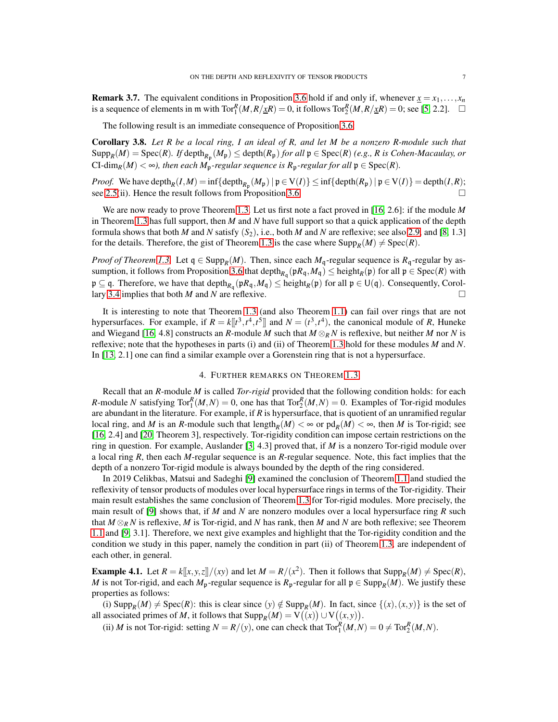<span id="page-6-2"></span>**Remark 3.7.** The equivalent conditions in Proposition [3.6](#page-5-1) hold if and only if, whenever  $x = x_1, \ldots, x_n$ is a sequence of elements in m with  $Tor_1^R(M, R/\underline{x}R) = 0$ , it follows  $Tor_2^R(M, R/\underline{x}R) = 0$ ; see [\[5,](#page-9-10) 2.2].  $\square$ 

The following result is an immediate consequence of Proposition [3.6:](#page-5-1)

<span id="page-6-0"></span>Corollary 3.8. *Let R be a local ring, I an ideal of R, and let M be a nonzero R-module such that*  $\text{Supp}_R(M) = \text{Spec}(R)$ . If depth $_{R_{\mathfrak{p}}}(M_{\mathfrak{p}}) \leq \text{depth}(R_{\mathfrak{p}})$  *for all*  $\mathfrak{p} \in \text{Spec}(R)$  *(e.g., R is Cohen-Macaulay, or* CI-dim<sub>*R*</sub>(*M*) < ∞*), then each M*<sub>p</sub>-regular sequence is  $R_p$ -regular for all  $p \in Spec(R)$ .

*Proof.* We have depth $_R(I, M) = \inf \{ \text{depth}_{R_\mathfrak{p}}(M_\mathfrak{p}) \mid \mathfrak{p} \in V(I) \} \leq \inf \{ \text{depth}(R_\mathfrak{p}) \mid \mathfrak{p} \in V(I) \} = \text{depth}(I, R);$ see [2.5\(](#page-1-0)ii). Hence the result follows from Proposition [3.6.](#page-5-1)

We are now ready to prove Theorem [1.3.](#page-0-2) Let us first note a fact proved in [\[16,](#page-10-0) 2.6]: if the module *M* in Theorem [1.3](#page-0-2) has full support, then *M* and *N* have full support so that a quick application of the depth formula shows that both *M* and *N* satisfy  $(S_2)$ , i.e., both *M* and *N* are reflexive; see also [2.9,](#page-2-2) and [\[8,](#page-9-0) 1.3] for the details. Therefore, the gist of Theorem [1.3](#page-0-2) is the case where  $\text{Supp}_R(M) \neq \text{Spec}(R)$ .

*Proof of Theorem [1.3.](#page-0-2)* Let  $q \in \text{Supp}_R(M)$ . Then, since each  $M_q$ -regular sequence is  $R_q$ -regular by as-sumption, it follows from Proposition [3.6](#page-5-1) that  $\text{depth}_{R_\mathfrak{q}}(\mathfrak{p}R_\mathfrak{q},M_\mathfrak{q}) \le \text{height}_R(\mathfrak{p})$  for all  $\mathfrak{p} \in \text{Spec}(R)$  with  $\mathfrak{p} \subseteq \mathfrak{q}$ . Therefore, we have that depth<sub> $R_{\mathfrak{q}}(\mathfrak{p}R_{\mathfrak{q}},M_{\mathfrak{q}}) \leq \text{height}_{R}(\mathfrak{p})$  for all  $\mathfrak{p} \in U(\mathfrak{q})$ . Consequently, Corol-</sub> lary [3.4](#page-4-0) implies that both *M* and *N* are reflexive.

It is interesting to note that Theorem [1.3](#page-0-2) (and also Theorem [1.1\)](#page-0-0) can fail over rings that are not hypersurfaces. For example, if  $R = k[[t^3, t^4, t^5]]$  and  $N = (t^3, t^4)$ , the canonical module of *R*, Huneke and Wiegand [\[16,](#page-10-0) 4.8] constructs an *R*-module *M* such that  $M \otimes_R N$  is reflexive, but neither *M* nor *N* is reflexive; note that the hypotheses in parts (i) and (ii) of Theorem [1.3](#page-0-2) hold for these modules *M* and *N*. In [\[13,](#page-9-11) 2.1] one can find a similar example over a Gorenstein ring that is not a hypersurface.

## 4. FURTHER REMARKS ON THEOREM [1.3](#page-0-2)

Recall that an *R*-module *M* is called *Tor-rigid* provided that the following condition holds: for each *R*-module *N* satisfying  $Tor_1^R(M,N) = 0$ , one has that  $Tor_2^R(M,N) = 0$ . Examples of Tor-rigid modules are abundant in the literature. For example, if *R* is hypersurface, that is quotient of an unramified regular local ring, and *M* is an *R*-module such that length<sub>*R*</sub> $(M) < \infty$  or  $pd_R(M) < \infty$ , then *M* is Tor-rigid; see [\[16,](#page-10-0) 2.4] and [\[20,](#page-10-6) Theorem 3], respectively. Tor-rigidity condition can impose certain restrictions on the ring in question. For example, Auslander [\[3,](#page-9-12) 4.3] proved that, if *M* is a nonzero Tor-rigid module over a local ring *R*, then each *M*-regular sequence is an *R*-regular sequence. Note, this fact implies that the depth of a nonzero Tor-rigid module is always bounded by the depth of the ring considered.

In 2019 Celikbas, Matsui and Sadeghi [\[9\]](#page-9-1) examined the conclusion of Theorem [1.1](#page-0-0) and studied the reflexivity of tensor products of modules over local hypersurface rings in terms of the Tor-rigidity. Their main result establishes the same conclusion of Theorem [1.3](#page-0-2) for Tor-rigid modules. More precisely, the main result of [\[9\]](#page-9-1) shows that, if *M* and *N* are nonzero modules over a local hypersurface ring *R* such that  $M \otimes_R N$  is reflexive, *M* is Tor-rigid, and *N* has rank, then *M* and *N* are both reflexive; see Theorem [1.1](#page-0-0) and [\[9,](#page-9-1) 3.1]. Therefore, we next give examples and highlight that the Tor-rigidity condition and the condition we study in this paper, namely the condition in part (ii) of Theorem [1.3,](#page-0-2) are independent of each other, in general.

<span id="page-6-1"></span>**Example 4.1.** Let  $R = k[[x, y, z]]/(xy)$  and let  $M = R/(x^2)$ . Then it follows that  $\text{Supp}_R(M) \neq \text{Spec}(R)$ , *M* is not Tor-rigid, and each  $M_p$ -regular sequence is  $R_p$ -regular for all  $p \in \text{Supp}_R(M)$ . We justify these properties as follows:

(i)  $\text{Supp}_R(M) \neq \text{Spec}(R)$ : this is clear since  $(y) \notin \text{Supp}_R(M)$ . In fact, since  $\{(x), (x, y)\}$  is the set of all associated primes of *M*, it follows that  $\text{Supp}_R(M) = \text{V}((x)) \cup \text{V}((x,y)).$ 

(ii) *M* is not Tor-rigid: setting  $N = R/(y)$ , one can check that  $Tor_1^R(M,N) = 0 \neq Tor_2^R(M,N)$ .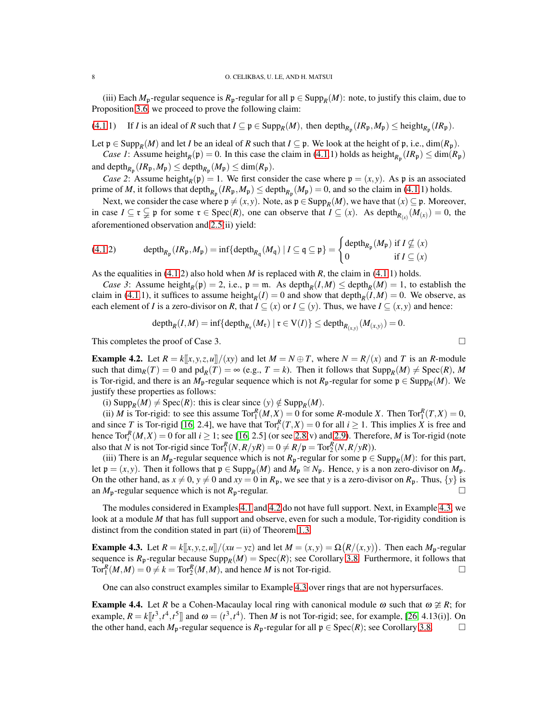<span id="page-7-2"></span>(iii) Each  $M_p$ -regular sequence is  $R_p$ -regular for all  $p \in \text{Supp}_R(M)$ : note, to justify this claim, due to Proposition [3.6,](#page-5-1) we proceed to prove the following claim:

[\(4.1.](#page-6-1)1) If *I* is an ideal of *R* such that  $I \subseteq \mathfrak{p} \in \text{Supp}_R(M)$ , then  $\text{depth}_{R_{\mathfrak{p}}}(IR_{\mathfrak{p}},M_{\mathfrak{p}}) \le \text{height}_{R_{\mathfrak{p}}}(IR_{\mathfrak{p}})$ .

Let  $p \in \text{Supp}_R(M)$  and let *I* be an ideal of *R* such that  $I \subseteq p$ . We look at the height of p, i.e., dim( $R_p$ ).

*Case 1*: Assume height<sub>*R*</sub>( $\mathfrak{p}$ ) = 0. In this case the claim in [\(4.1.](#page-6-1)1) holds as height<sub>*R*p</sub></sub>( $IR_{\mathfrak{p}}$ )  $\leq$  dim( $R_{\mathfrak{p}}$ ) and depth<sub> $R_p$ </sub>  $(IR_p, M_p) \le$  depth $_{R_p}$   $(M_p) \le$  dim $(R_p)$ .

*Case 2*: Assume height<sub>*R*</sub>( $\mathfrak{p}$ ) = 1. We first consider the case where  $\mathfrak{p} = (x, y)$ . As  $\mathfrak{p}$  is an associated prime of *M*, it follows that depth $_{R_p}(IR_p, M_p) \le$  depth $_{R_p}(M_p) = 0$ , and so the claim in [\(4.1.](#page-6-1)1) holds.

Next, we consider the case where  $\mathfrak{p} \neq (x, y)$ . Note, as  $\mathfrak{p} \in \text{Supp}_R(M)$ , we have that  $(x) \subseteq \mathfrak{p}$ . Moreover, in case  $I \subseteq \mathfrak{r} \subsetneq \mathfrak{p}$  for some  $\mathfrak{r} \in \text{Spec}(R)$ , one can observe that  $I \subseteq (x)$ . As depth $R_{(x)}(M_{(x)}) = 0$ , the aforementioned observation and [2.5\(](#page-1-0)ii) yield:

$$
(4.1.2) \qquad \operatorname{depth}_{R_{\mathfrak{p}}}(IR_{\mathfrak{p}},M_{\mathfrak{p}}) = \inf \{ \operatorname{depth}_{R_{\mathfrak{q}}}(M_{\mathfrak{q}}) \mid I \subseteq \mathfrak{q} \subseteq \mathfrak{p} \} = \begin{cases} \operatorname{depth}_{R_{\mathfrak{p}}}(M_{\mathfrak{p}}) \text{ if } I \nsubseteq (x) \\ 0 \text{ if } I \subseteq (x) \end{cases}
$$

As the equalities in [\(4.1.](#page-6-1)2) also hold when *M* is replaced with *R*, the claim in [\(4.1.](#page-6-1)1) holds.

*Case 3*: Assume height<sub>*R*</sub>( $\mathfrak{p}$ ) = 2, i.e.,  $\mathfrak{p} = \mathfrak{m}$ . As depth<sub>*R*</sub>(*I*,*M*)  $\leq$  depth<sub>*R*</sub>(*M*) = 1, to establish the claim in [\(4.1.](#page-6-1)1), it suffices to assume height<sub>*R*</sub>(*I*) = 0 and show that depth<sub>*R*</sub>(*I*,*M*) = 0. We observe, as each element of *I* is a zero-divisor on *R*, that  $I \subseteq (x)$  or  $I \subseteq (y)$ . Thus, we have  $I \subseteq (x, y)$  and hence:

$$
\mathrm{depth}_R(I,M)=\inf\{\mathrm{depth}_{R_{\mathfrak{r}}}(M_{\mathfrak{r}})\mid \mathfrak{r}\in V(I)\}\leq \mathrm{depth}_{R_{(x,y)}}(M_{(x,y)})=0.
$$

This completes the proof of Case 3.  $\Box$ 

<span id="page-7-0"></span>**Example 4.2.** Let  $R = k[[x, y, z, u]]/(xy)$  and let  $M = N \oplus T$ , where  $N = R/(x)$  and *T* is an *R*-module such that  $\dim_R(T) = 0$  and  $\text{pd}_R(T) = \infty$  (e.g.,  $T = k$ ). Then it follows that  $\text{Supp}_R(M) \neq \text{Spec}(R)$ , M is Tor-rigid, and there is an  $M_p$ -regular sequence which is not  $R_p$ -regular for some  $p \in \text{Supp}_R(M)$ . We justify these properties as follows:

(i)  $\text{Supp}_R(M) \neq \text{Spec}(R)$ : this is clear since  $(y) \notin \text{Supp}_R(M)$ .

(ii) *M* is Tor-rigid: to see this assume  $Tor_1^R(M,X) = 0$  for some *R*-module *X*. Then  $Tor_1^R(T,X) = 0$ , and since *T* is Tor-rigid [\[16,](#page-10-0) 2.4], we have that  $Tor_i^R(T, X) = 0$  for all  $i \ge 1$ . This implies *X* is free and hence  $\text{Tor}_{i}^{R}(M,X) = 0$  for all  $i \geq 1$ ; see [\[16,](#page-10-0) 2.5] (or see [2.8\(](#page-2-1)v) and [2.9\)](#page-2-2). Therefore, *M* is Tor-rigid (note also that *N* is not Tor-rigid since  $Tor_1^R(N, R/\gamma R) = 0 \neq R/\mathfrak{p} = Tor_2^R(N, R/\gamma R)$ .

(iii) There is an  $M_p$ -regular sequence which is not  $R_p$ -regular for some  $p \in \text{Supp}_R(M)$ : for this part, let  $\mathfrak{p} = (x, y)$ . Then it follows that  $\mathfrak{p} \in \text{Supp}_R(M)$  and  $M_{\mathfrak{p}} \cong N_{\mathfrak{p}}$ . Hence, *y* is a non zero-divisor on  $M_{\mathfrak{p}}$ . On the other hand, as  $x \neq 0$ ,  $y \neq 0$  and  $xy = 0$  in  $R_p$ , we see that *y* is a zero-divisor on  $R_p$ . Thus,  $\{y\}$  is an  $M_p$ -regular sequence which is not  $R_p$ -regular.

The modules considered in Examples [4.1](#page-6-1) and [4.2](#page-7-0) do not have full support. Next, in Example [4.3,](#page-7-1) we look at a module *M* that has full support and observe, even for such a module, Tor-rigidity condition is distinct from the condition stated in part (ii) of Theorem [1.3.](#page-0-2)

<span id="page-7-1"></span>**Example 4.3.** Let  $R = k[[x, y, z, u]]/(xu - yz)$  and let  $M = (x, y) = \Omega(R/(x, y))$ . Then each  $M_p$ -regular sequence is  $R_p$ -regular because  $\text{Supp}_R(M) = \text{Spec}(R)$ ; see Corollary [3.8.](#page-6-0) Furthermore, it follows that  $Tor_1^R(M,M) = 0 \neq k = Tor_2^R(M,M)$ , and hence *M* is not Tor-rigid.

One can also construct examples similar to Example [4.3](#page-7-1) over rings that are not hypersurfaces.

**Example 4.4.** Let *R* be a Cohen-Macaulay local ring with canonical module  $\omega$  such that  $\omega \ncong R$ ; for example,  $R = k[[t^3, t^4, t^5]]$  and  $\omega = (t^3, t^4)$ . Then *M* is not Tor-rigid; see, for example, [\[26,](#page-10-7) 4.13(i)]. On the other hand, each  $M_p$ -regular sequence is  $R_p$ -regular for all  $p \in Spec(R)$ ; see Corollary [3.8.](#page-6-0)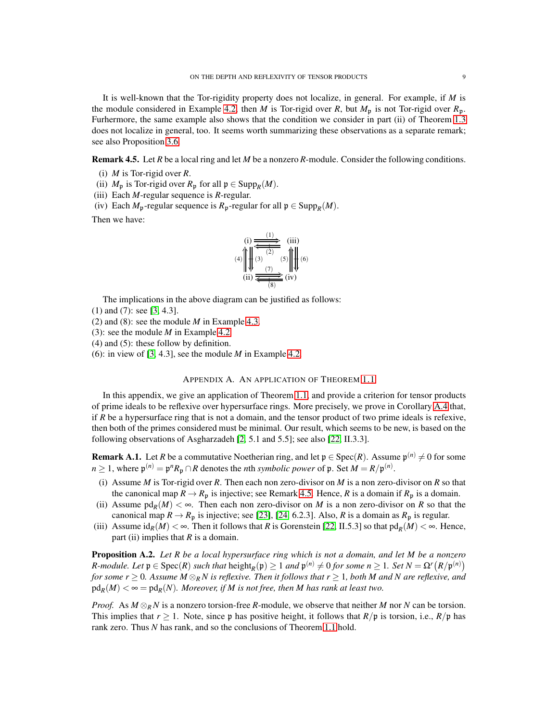<span id="page-8-3"></span>It is well-known that the Tor-rigidity property does not localize, in general. For example, if *M* is the module considered in Example [4.2,](#page-7-0) then *M* is Tor-rigid over *R*, but  $M_p$  is not Tor-rigid over  $R_p$ . Furhermore, the same example also shows that the condition we consider in part (ii) of Theorem [1.3](#page-0-2) does not localize in general, too. It seems worth summarizing these observations as a separate remark; see also Proposition [3.6.](#page-5-1)

<span id="page-8-1"></span>Remark 4.5. Let *R* be a local ring and let *M* be a nonzero *R*-module. Consider the following conditions.

- (i) *M* is Tor-rigid over *R*.
- (ii)  $M_p$  is Tor-rigid over  $R_p$  for all  $p \in \text{Supp}_R(M)$ .
- (iii) Each *M*-regular sequence is *R*-regular.
- (iv) Each  $M_p$ -regular sequence is  $R_p$ -regular for all  $p \in \text{Supp}_R(M)$ .

Then we have:

(i) 
$$
\overbrace{(\begin{array}{c}\n\text{(i)} \\
\text{(ii)}\n\end{array})}^{(1)}\n\overbrace{(\begin{array}{c}\n\text{(ii)} \\
\text{(iii)}\n\end{array})}^{(1)}\n\overbrace{(\begin{array}{c}\n\text{(iii)} \\
\text{(iv)}\n\end{array})}^{(1)}\n\overbrace{(\begin{array}{c}\n\text{(iv)}\n\end{array})}^{(1)}\n\overbrace{(\begin{array}{c}\n\text{(iv)}\n\end{array})}^{(1)}\n\overbrace{(\begin{array}{c}\n\text{(iv)}\n\end{array})}^{(1)}
$$

The implications in the above diagram can be justified as follows:

- (1) and (7): see [\[3,](#page-9-12) 4.3].
- (2) and (8): see the module *M* in Example [4.3.](#page-7-1)
- (3): see the module *M* in Example [4.2.](#page-7-0)
- (4) and (5): these follow by definition.
- (6): in view of [\[3,](#page-9-12) 4.3], see the module *M* in Example [4.2.](#page-7-0)

#### APPENDIX A. AN APPLICATION OF THEOREM [1.1](#page-0-0)

In this appendix, we give an application of Theorem [1.1,](#page-0-0) and provide a criterion for tensor products of prime ideals to be reflexive over hypersurface rings. More precisely, we prove in Corollary [A.4](#page-9-4) that, if *R* be a hypersurface ring that is not a domain, and the tensor product of two prime ideals is refexive, then both of the primes considered must be minimal. Our result, which seems to be new, is based on the following observations of Asgharzadeh [\[2,](#page-9-3) 5.1 and 5.5]; see also [\[22,](#page-10-8) II.3.3].

<span id="page-8-0"></span>**Remark A.1.** Let *R* be a commutative Noetherian ring, and let  $\mathfrak{p} \in \text{Spec}(R)$ . Assume  $\mathfrak{p}^{(n)} \neq 0$  for some  $n \ge 1$ , where  $\mathfrak{p}^{(n)} = \mathfrak{p}^n R_{\mathfrak{p}} \cap R$  denotes the *n*th *symbolic power* of  $\mathfrak{p}$ . Set  $M = R/\mathfrak{p}^{(n)}$ .

- (i) Assume *M* is Tor-rigid over *R*. Then each non zero-divisor on *M* is a non zero-divisor on *R* so that the canonical map  $R \to R_p$  is injective; see Remark [4.5.](#page-8-1) Hence, *R* is a domain if  $R_p$  is a domain.
- (ii) Assume  $pd_R(M) < \infty$ . Then each non zero-divisor on *M* is a non zero-divisor on *R* so that the canonical map  $R \to R_p$  is injective; see [\[23\]](#page-10-9), [\[24,](#page-10-10) 6.2.3]. Also, *R* is a domain as  $R_p$  is regular.
- (iii) Assume  $id_R(M) < \infty$ . Then it follows that *R* is Gorenstein [\[22,](#page-10-8) II.5.3] so that  $pd_R(M) < \infty$ . Hence, part (ii) implies that *R* is a domain.

<span id="page-8-2"></span>Proposition A.2. *Let R be a local hypersurface ring which is not a domain, and let M be a nonzero R*-module. Let  $\mathfrak{p} \in \text{Spec}(R)$  such that  $\text{height}_R(\mathfrak{p}) \geq 1$  and  $\mathfrak{p}^{(n)} \neq 0$  for some  $n \geq 1$ . Set  $N = \Omega^r(R/\mathfrak{p}^{(n)})$ *for some r*  $\geq$  0. Assume M  $\otimes_R N$  is reflexive. Then it follows that r  $\geq$  1, both M and N are reflexive, and  $\text{pd}_R(M) < \infty = \text{pd}_R(N)$ . Moreover, if M is not free, then M has rank at least two.

*Proof.* As  $M \otimes_R N$  is a nonzero torsion-free *R*-module, we observe that neither *M* nor *N* can be torsion. This implies that  $r \ge 1$ . Note, since p has positive height, it follows that  $R/\mathfrak{p}$  is torsion, i.e.,  $R/\mathfrak{p}$  has rank zero. Thus *N* has rank, and so the conclusions of Theorem [1.1](#page-0-0) hold.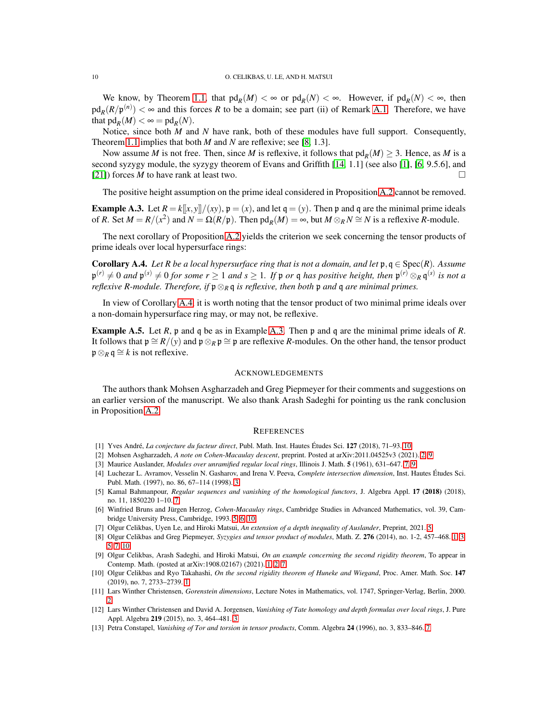<span id="page-9-15"></span>We know, by Theorem [1.1,](#page-0-0) that  $pd_R(M) < \infty$  or  $pd_R(N) < \infty$ . However, if  $pd_R(N) < \infty$ , then  $pd_R(R/p^{(n)}) < \infty$  and this forces *R* to be a domain; see part (ii) of Remark [A.1.](#page-8-0) Therefore, we have that  $\text{pd}_R(M) < \infty = \text{pd}_R(N)$ .

Notice, since both *M* and *N* have rank, both of these modules have full support. Consequently, Theorem [1.1](#page-0-0) implies that both *M* and *N* are reflexive; see [\[8,](#page-9-0) 1.3].

Now assume *M* is not free. Then, since *M* is reflexive, it follows that  $pd_R(M) \geq 3$ . Hence, as *M* is a second syzygy module, the syzygy theorem of Evans and Griffith [\[14,](#page-10-11) 1.1] (see also [\[1\]](#page-9-13), [\[6,](#page-9-8) 9.5.6], and [\[21\]](#page-10-12)) forces *M* to have rank at least two.

The positive height assumption on the prime ideal considered in Proposition [A.2](#page-8-2) cannot be removed.

<span id="page-9-14"></span>**Example A.3.** Let  $R = k[[x, y]]/(xy)$ ,  $p = (x)$ , and let  $q = (y)$ . Then p and q are the minimal prime ideals of *R*. Set  $M = R/(x^2)$  and  $N = \Omega(R/\mathfrak{p})$ . Then  $\text{pd}_R(M) = \infty$ , but  $M \otimes_R N \cong N$  is a reflexive *R*-module.

The next corollary of Proposition [A.2](#page-8-2) yields the criterion we seek concerning the tensor products of prime ideals over local hypersurface rings:

<span id="page-9-4"></span>**Corollary A.4.** *Let R be a local hypersurface ring that is not a domain, and let*  $\mathfrak{p}, \mathfrak{q} \in \text{Spec}(R)$ *. Assume*  $p^{(r)} \neq 0$  and  $p^{(s)} \neq 0$  for some  $r \geq 1$  and  $s \geq 1$ . If  $p$  or  $q$  has positive height, then  $p^{(r)} \otimes_R q^{(s)}$  is not a *reflexive R-module. Therefore, if* p⊗*<sup>R</sup>* q *is reflexive, then both* p *and* q *are minimal primes.*

In view of Corollary [A.4,](#page-9-4) it is worth noting that the tensor product of two minimal prime ideals over a non-domain hypersurface ring may, or may not, be reflexive.

Example A.5. Let *R*, p and q be as in Example [A.3.](#page-9-14) Then p and q are the minimal prime ideals of *R*. It follows that  $\mathfrak{p} \cong R/(y)$  and  $\mathfrak{p} \otimes_R \mathfrak{p} \cong \mathfrak{p}$  are reflexive *R*-modules. On the other hand, the tensor product  $\mathfrak{p} \otimes_R \mathfrak{q} \cong k$  is not reflexive.

#### ACKNOWLEDGEMENTS

The authors thank Mohsen Asgharzadeh and Greg Piepmeyer for their comments and suggestions on an earlier version of the manuscript. We also thank Arash Sadeghi for pointing us the rank conclusion in Proposition [A.2.](#page-8-2)

#### **REFERENCES**

- <span id="page-9-13"></span><span id="page-9-3"></span>[1] Yves André, *La conjecture du facteur direct*, Publ. Math. Inst. Hautes Études Sci. 127 (2018), 71–93. [10](#page-9-15)
- <span id="page-9-12"></span>[2] Mohsen Asgharzadeh, *A note on Cohen-Macaulay descent*, preprint. Posted at arXiv:2011.04525v3 (2021). [2,](#page-1-3) [9](#page-8-3)
- <span id="page-9-6"></span>[3] Maurice Auslander, *Modules over unramified regular local rings*, Illinois J. Math. 5 (1961), 631–647. [7,](#page-6-2) [9](#page-8-3)
- [4] Luchezar L. Avramov, Vesselin N. Gasharov, and Irena V. Peeva, *Complete intersection dimension*, Inst. Hautes Études Sci. Publ. Math. (1997), no. 86, 67–114 (1998). [3](#page-2-3)
- <span id="page-9-10"></span>[5] Kamal Bahmanpour, *Regular sequences and vanishing of the homological functors*, J. Algebra Appl. 17 (2018) (2018), no. 11, 1850220 1–10. [7](#page-6-2)
- <span id="page-9-8"></span>[6] Winfried Bruns and Jürgen Herzog, *Cohen-Macaulay rings*, Cambridge Studies in Advanced Mathematics, vol. 39, Cambridge University Press, Cambridge, 1993. [5,](#page-4-2) [6,](#page-5-2) [10](#page-9-15)
- <span id="page-9-9"></span><span id="page-9-0"></span>[7] Olgur Celikbas, Uyen Le, and Hiroki Matsui, *An extension of a depth inequality of Auslander*, Preprint, 2021. [5](#page-4-2)
- [8] Olgur Celikbas and Greg Piepmeyer, *Syzygies and tensor product of modules*, Math. Z. 276 (2014), no. 1-2, 457–468. [1,](#page-0-3) [3,](#page-2-3) [5,](#page-4-2) [7,](#page-6-2) [10](#page-9-15)
- <span id="page-9-1"></span>[9] Olgur Celikbas, Arash Sadeghi, and Hiroki Matsui, *On an example concerning the second rigidity theorem*, To appear in Contemp. Math. (posted at arXiv:1908.02167) (2021). [1,](#page-0-3) [2,](#page-1-3) [7](#page-6-2)
- <span id="page-9-2"></span>[10] Olgur Celikbas and Ryo Takahashi, *On the second rigidity theorem of Huneke and Wiegand*, Proc. Amer. Math. Soc. 147 (2019), no. 7, 2733–2739. [1](#page-0-3)
- <span id="page-9-5"></span>[11] Lars Winther Christensen, *Gorenstein dimensions*, Lecture Notes in Mathematics, vol. 1747, Springer-Verlag, Berlin, 2000. [2](#page-1-3)
- <span id="page-9-7"></span>[12] Lars Winther Christensen and David A. Jorgensen, *Vanishing of Tate homology and depth formulas over local rings*, J. Pure Appl. Algebra 219 (2015), no. 3, 464–481. [3](#page-2-3)
- <span id="page-9-11"></span>[13] Petra Constapel, *Vanishing of Tor and torsion in tensor products*, Comm. Algebra 24 (1996), no. 3, 833–846. [7](#page-6-2)